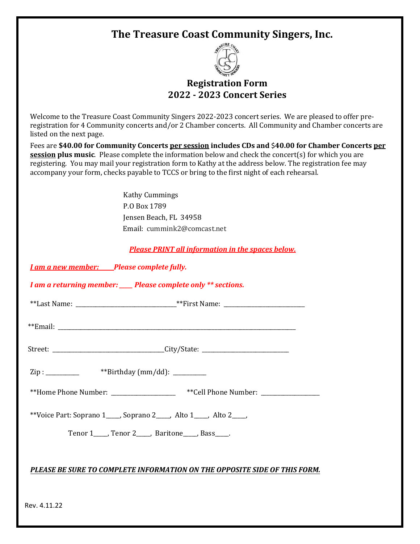# **The Treasure Coast Community Singers, Inc.**



## **Registration Form 2022 - 2023 Concert Series**

Welcome to the Treasure Coast Community Singers 2022-2023 concert series. We are pleased to offer preregistration for 4 Community concerts and/or 2 Chamber concerts. All Community and Chamber concerts are listed on the next page.

Fees are **\$40.00 for Community Concerts per session includes CDs and** \$**40.00 for Chamber Concerts per session plus music**. Please complete the information below and check the concert(s) for which you are registering. You may mail your registration form to Kathy at the address below. The registration fee may accompany your form, checks payable to TCCS or bring to the first night of each rehearsal.

> Kathy Cummings P.O Box 1789 Jensen Beach, FL 34958 Email: cummink2@comcast.net

*Please PRINT all information in the spaces below.*

*I am a new member:\_\_\_\_\_ Please complete fully.*

*I am a returning member: \_\_\_\_\_ Please complete only \*\* sections.*

| $***I$ | $**\Gamma$ : |
|--------|--------------|
| .ast   | M            |
| Name.  | vallit       |

\*\*Email: \_\_\_\_\_\_\_\_\_\_\_\_\_\_\_\_\_\_\_\_\_\_\_\_\_\_\_\_\_\_\_\_\_\_\_\_\_\_\_\_\_\_\_\_\_\_\_\_\_\_\_\_\_\_\_\_\_\_\_\_\_\_\_\_\_\_\_\_\_\_\_\_\_\_\_\_\_\_\_\_\_\_\_\_\_

| $\sqrt{ }$<br>--<br>---<br>_ _ | . .<br>--<br>$\cdot$ |
|--------------------------------|----------------------|
|                                |                      |

 $\text{Zip} : \_ \_ \text{with} \_ \text{with} \ (\text{mm}/\text{dd}): \_ \text{the}$ 

\*\*Home Phone Number: \_\_\_\_\_\_\_\_\_\_\_\_\_\_\_\_\_\_ \*\*Cell Phone Number: \_\_\_\_\_\_\_\_\_\_\_\_\_\_\_\_\_\_\_

\*\*Voice Part: Soprano 1\_\_\_\_\_, Soprano 2\_\_\_\_\_, Alto 1\_\_\_\_\_, Alto 2\_\_\_\_\_,

Tenor 1\_\_\_\_\_, Tenor 2\_\_\_\_\_, Baritone\_\_\_\_\_, Bass\_\_\_\_\_.

## *PLEASE BE SURE TO COMPLETE INFORMATION ON THE OPPOSITE SIDE OF THIS FORM.*

Rev. 4.11.22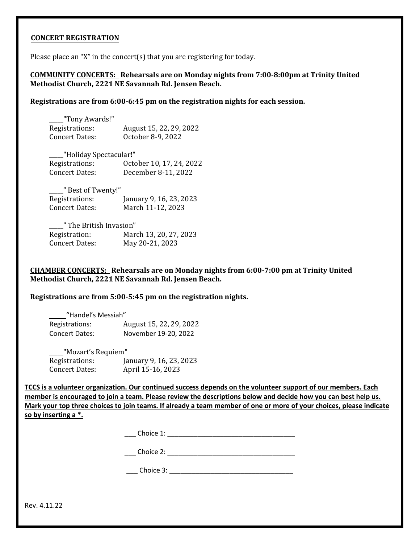### **CONCERT REGISTRATION**

Please place an "X" in the concert(s) that you are registering for today.

**COMMUNITY CONCERTS: Rehearsals are on Monday nights from 7:00-8:00pm at Trinity United Methodist Church, 2221 NE Savannah Rd. Jensen Beach.** 

**Registrations are from 6:00-6:45 pm on the registration nights for each session.** 

| "Tony Awards!" |                         |
|----------------|-------------------------|
| Registrations: | August 15, 22, 29, 2022 |
| Concert Dates: | October 8-9, 2022       |

\_\_\_\_\_"Holiday Spectacular!" Registrations: October 10, 17, 24, 2022 Concert Dates: December 8-11, 2022

\_\_\_\_\_" Best of Twenty!" Registrations: January 9, 16, 23, 2023 Concert Dates: March 11-12, 2023

| " The British Invasion" |                        |  |  |
|-------------------------|------------------------|--|--|
| Registration:           | March 13, 20, 27, 2023 |  |  |
| Concert Dates:          | May 20-21, 2023        |  |  |

**CHAMBER CONCERTS: Rehearsals are on Monday nights from 6:00-7:00 pm at Trinity United Methodist Church, 2221 NE Savannah Rd. Jensen Beach.**

**Registrations are from 5:00-5:45 pm on the registration nights.** 

| "Handel's Messiah"    |                         |  |
|-----------------------|-------------------------|--|
| Registrations:        | August 15, 22, 29, 2022 |  |
| <b>Concert Dates:</b> | November 19-20, 2022    |  |

\_\_\_\_\_"Mozart's Requiem" Registrations: January 9, 16, 23, 2023 Concert Dates: April 15-16, 2023

**TCCS is a volunteer organization. Our continued success depends on the volunteer support of our members. Each member is encouraged to join a team. Please review the descriptions below and decide how you can best help us. Mark your top three choices to join teams. If already a team member of one or more of your choices, please indicate so by inserting a \*.** 

| `hoica 1∙<br>01 UU 1. |  |
|-----------------------|--|
|                       |  |

\_\_\_ Choice 2: \_\_\_\_\_\_\_\_\_\_\_\_\_\_\_\_\_\_\_\_\_\_\_\_\_\_\_\_\_\_\_\_\_\_

| 'hoice'<br><u>.</u> |  |
|---------------------|--|
|                     |  |

Rev. 4.11.22